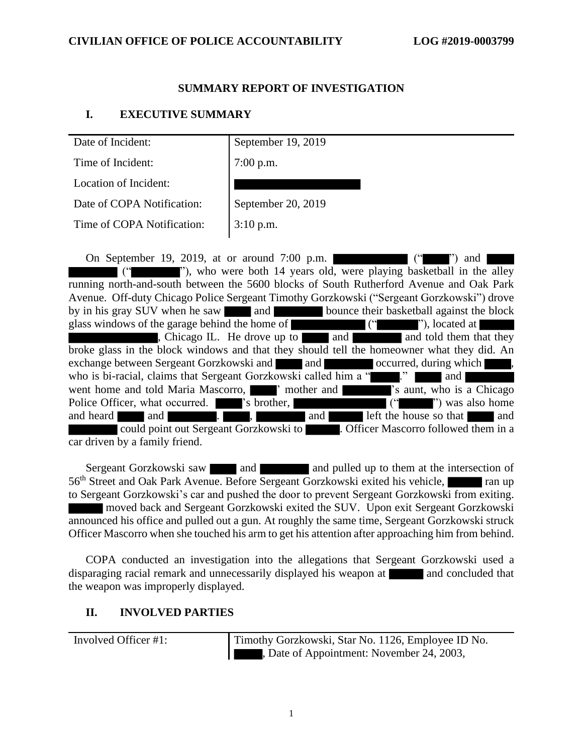### **SUMMARY REPORT OF INVESTIGATION**

### **I. EXECUTIVE SUMMARY**

| Date of Incident:                               | September 19, 2019                                                                                                                                                               |
|-------------------------------------------------|----------------------------------------------------------------------------------------------------------------------------------------------------------------------------------|
| Time of Incident:                               | $7:00$ p.m.                                                                                                                                                                      |
| Location of Incident:                           |                                                                                                                                                                                  |
| Date of COPA Notification:                      | September 20, 2019                                                                                                                                                               |
| Time of COPA Notification:                      | $3:10$ p.m.                                                                                                                                                                      |
| On September 19, 2019, at or around $7:00$ p.m. | $($ " $)$ and<br>"), who were both 14 years old, were playing basketball in the alley<br>running north-and-south between the 5600 blocks of South Rutherford Avenue and Oak Park |
|                                                 | Avenue. Off-duty Chicago Police Sergeant Timothy Gorzkowski ("Sergeant Gorzkowski") drove                                                                                        |

by in his gray SUV when he saw and bounce their basketball against the block glass windows of the garage behind the home of ("""), located at  $\blacksquare$ ", Chicago IL. He drove up to and and told them that they , Chicago IL. He drove up to  $\Box$  and  $\Box$ broke glass in the block windows and that they should tell the homeowner what they did. An exchange between Sergeant Gorzkowski and and and occurred, during which who is bi-racial, claims that Sergeant Gorzkowski called him a " ... ... and went home and told Maria Mascorro,  $\blacksquare$  ' mother and  $\blacksquare$  's aunt, who is a Chicago Police Officer, what occurred.  $\blacksquare$  's brother,  $\blacksquare$  (" ") was also home and heard and and **and**  $\blacksquare$ . could point out Sergeant Gorzkowski to **...** Officer Mascorro followed them in a car driven by a family friend.

Sergeant Gorzkowski saw and and and pulled up to them at the intersection of 56<sup>th</sup> Street and Oak Park Avenue. Before Sergeant Gorzkowski exited his vehicle, to Sergeant Gorzkowski's car and pushed the door to prevent Sergeant Gorzkowski from exiting. moved back and Sergeant Gorzkowski exited the SUV. Upon exit Sergeant Gorzkowski announced his office and pulled out a gun. At roughly the same time, Sergeant Gorzkowski struck Officer Mascorro when she touched his arm to get his attention after approaching him from behind.

COPA conducted an investigation into the allegations that Sergeant Gorzkowski used a disparaging racial remark and unnecessarily displayed his weapon at and concluded that the weapon was improperly displayed.

### **II. INVOLVED PARTIES**

Involved Officer #1: Timothy Gorzkowski, Star No. 1126, Employee ID No. , Date of Appointment: November 24, 2003,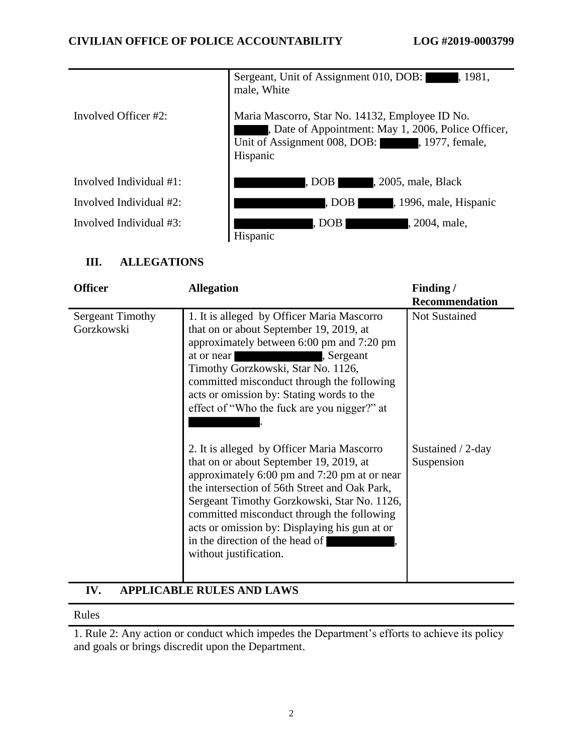|                         | Sergeant, Unit of Assignment 010, DOB: 4, 1981,<br>male, White                                                                                                     |  |
|-------------------------|--------------------------------------------------------------------------------------------------------------------------------------------------------------------|--|
| Involved Officer #2:    | Maria Mascorro, Star No. 14132, Employee ID No.<br>, Date of Appointment: May 1, 2006, Police Officer,<br>Unit of Assignment 008, DOB: , 1977, female,<br>Hispanic |  |
| Involved Individual #1: | DOB, 2005, male, Black                                                                                                                                             |  |
| Involved Individual #2: | DOB 1996, male, Hispanic                                                                                                                                           |  |
| Involved Individual #3: | , DOB I<br><b>1.</b> 2004, male,<br>Hispanic                                                                                                                       |  |

## **III. ALLEGATIONS**

| <b>Officer</b>                        | <b>Allegation</b>                                                                                                                                                                                                                                                                                                                                                                                 | Finding/<br><b>Recommendation</b> |
|---------------------------------------|---------------------------------------------------------------------------------------------------------------------------------------------------------------------------------------------------------------------------------------------------------------------------------------------------------------------------------------------------------------------------------------------------|-----------------------------------|
| <b>Sergeant Timothy</b><br>Gorzkowski | 1. It is alleged by Officer Maria Mascorro<br>that on or about September 19, 2019, at<br>approximately between 6:00 pm and 7:20 pm<br>at or near<br>, Sergeant<br>Timothy Gorzkowski, Star No. 1126,<br>committed misconduct through the following<br>acts or omission by: Stating words to the<br>effect of "Who the fuck are you nigger?" at                                                    | Not Sustained                     |
|                                       | 2. It is alleged by Officer Maria Mascorro<br>that on or about September 19, 2019, at<br>approximately 6:00 pm and 7:20 pm at or near<br>the intersection of 56th Street and Oak Park,<br>Sergeant Timothy Gorzkowski, Star No. 1126,<br>committed misconduct through the following<br>acts or omission by: Displaying his gun at or<br>in the direction of the head of<br>without justification. | Sustained / 2-day<br>Suspension   |

### **IV. APPLICABLE RULES AND LAWS**

#### Rules

1. Rule 2: Any action or conduct which impedes the Department's efforts to achieve its policy and goals or brings discredit upon the Department.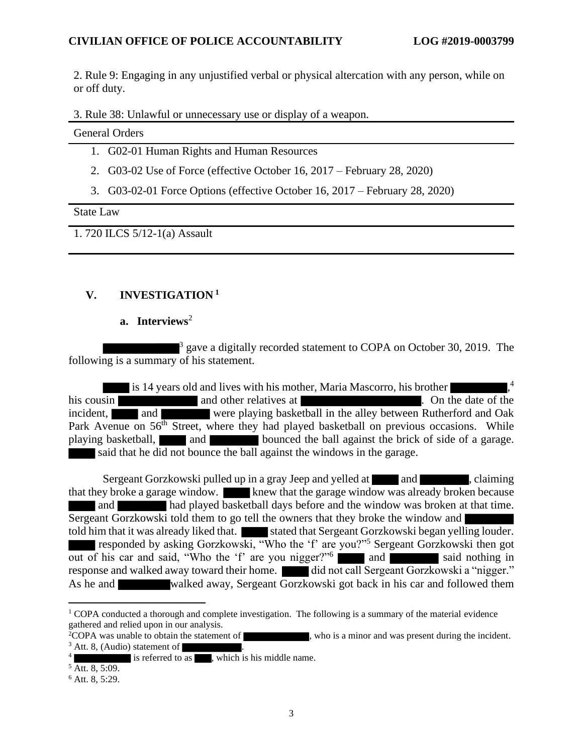2. Rule 9: Engaging in any unjustified verbal or physical altercation with any person, while on or off duty.

3. Rule 38: Unlawful or unnecessary use or display of a weapon.

General Orders

- 1. G02-01 Human Rights and Human Resources
- 2. G03-02 Use of Force (effective October 16, 2017 February 28, 2020)
- 3. G03-02-01 Force Options (effective October 16, 2017 February 28, 2020)

State Law

1. 720 ILCS 5/12-1(a) Assault

## **V. INVESTIGATION <sup>1</sup>**

### **a. Interviews**<sup>2</sup>

 $3$  gave a digitally recorded statement to COPA on October 30, 2019. The following is a summary of his statement.

is 14 years old and lives with his mother, Maria Mascorro, his brother 4 his cousin and other relatives at . On the date of the  $\overline{\phantom{a}}$ incident, and were playing basketball in the alley between Rutherford and Oak Park Avenue on 56<sup>th</sup> Street, where they had played basketball on previous occasions. While playing basketball, and and bounced the ball against the brick of side of a garage. said that he did not bounce the ball against the windows in the garage.

Sergeant Gorzkowski pulled up in a gray Jeep and yelled at and and , claiming that they broke a garage window. Knew that the garage window was already broken because and had played basketball days before and the window was broken at that time. Sergeant Gorzkowski told them to go tell the owners that they broke the window and told him that it was already liked that. Stated that Sergeant Gorzkowski began yelling louder. responded by asking Gorzkowski, "Who the 'f' are you?"<sup>5</sup> Sergeant Gorzkowski then got out of his car and said, "Who the 'f' are you nigger?"<sup>6</sup> and said nothing in response and walked away toward their home. did not call Sergeant Gorzkowski a "nigger." As he and walked away, Sergeant Gorzkowski got back in his car and followed them

<sup>&</sup>lt;sup>1</sup> COPA conducted a thorough and complete investigation. The following is a summary of the material evidence gathered and relied upon in our analysis.

<sup>&</sup>lt;sup>2</sup>COPA was unable to obtain the statement of  $\blacksquare$ , who is a minor and was present during the incident.  $3$  Att. 8, (Audio) statement of  $\blacksquare$ 

<sup>4</sup> is referred to as  $\overline{\phantom{a}}$ , which is his middle name.

 $\frac{5}{1}$  Att. 8, 5:09.

<sup>6</sup> Att. 8, 5:29.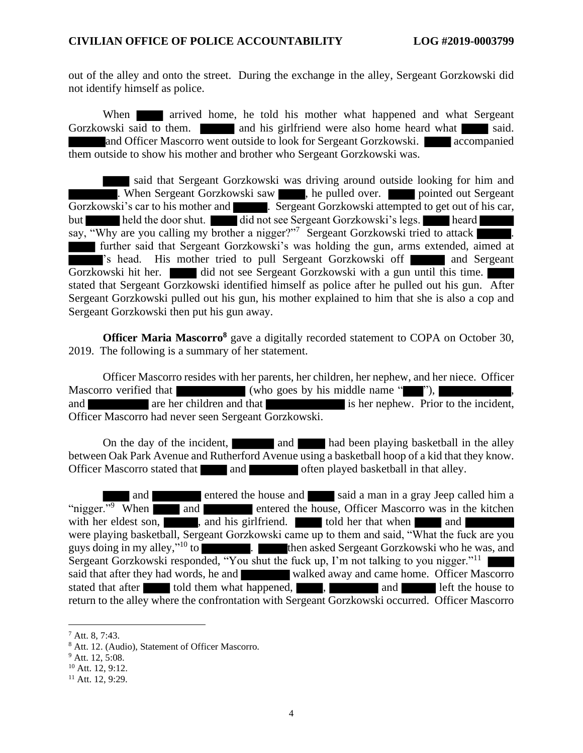out of the alley and onto the street. During the exchange in the alley, Sergeant Gorzkowski did not identify himself as police.

When **arrived** home, he told his mother what happened and what Sergeant Gorzkowski said to them. **and his girlfriend were also home heard what said.** Said. and Officer Mascorro went outside to look for Sergeant Gorzkowski. **All accompanied** them outside to show his mother and brother who Sergeant Gorzkowski was.

said that Sergeant Gorzkowski was driving around outside looking for him and . When Sergeant Gorzkowski saw , he pulled over. pointed out Sergeant Gorzkowski's car to his mother and . Sergeant Gorzkowski attempted to get out of his car, but held the door shut. did not see Sergeant Gorzkowski's legs. heard say, "Why are you calling my brother a nigger?"<sup>7</sup> Sergeant Gorzkowski tried to attack further said that Sergeant Gorzkowski's was holding the gun, arms extended, aimed at 's head. His mother tried to pull Sergeant Gorzkowski of and Sergeant Gorzkowski hit her. did not see Sergeant Gorzkowski with a gun until this time. stated that Sergeant Gorzkowski identified himself as police after he pulled out his gun. After Sergeant Gorzkowski pulled out his gun, his mother explained to him that she is also a cop and Sergeant Gorzkowski then put his gun away.

**Officer Maria Mascorro<sup>8</sup>** gave a digitally recorded statement to COPA on October 30, 2019. The following is a summary of her statement.

Officer Mascorro resides with her parents, her children, her nephew, and her niece. Officer Mascorro verified that (who goes by his middle name ""), and are her children and that is her nephew. Prior to the incident, Officer Mascorro had never seen Sergeant Gorzkowski.

On the day of the incident, and had been playing basketball in the alley between Oak Park Avenue and Rutherford Avenue using a basketball hoop of a kid that they know. Officer Mascorro stated that and and often played basketball in that alley.

and **entered the house and said a man in a gray Jeep called him a** "nigger."<sup>9</sup> When and and entered the house, Officer Mascorro was in the kitchen with her eldest son, , and his girlfriend. told her that when and were playing basketball, Sergeant Gorzkowski came up to them and said, "What the fuck are you guys doing in my alley,"<sup>10</sup> to **then asked Sergeant Gorzkowski who he was, and** Sergeant Gorzkowski responded, "You shut the fuck up, I'm not talking to you nigger."<sup>11</sup> said that after they had words, he and walked away and came home. Officer Mascorro stated that after told them what happened, , and and left the house to return to the alley where the confrontation with Sergeant Gorzkowski occurred. Officer Mascorro

<sup>7</sup> Att. 8, 7:43.

<sup>8</sup> Att. 12. (Audio), Statement of Officer Mascorro.

 $9$  Att. 12, 5:08.

 $10$  Att. 12, 9:12.

 $11$  Att. 12, 9:29.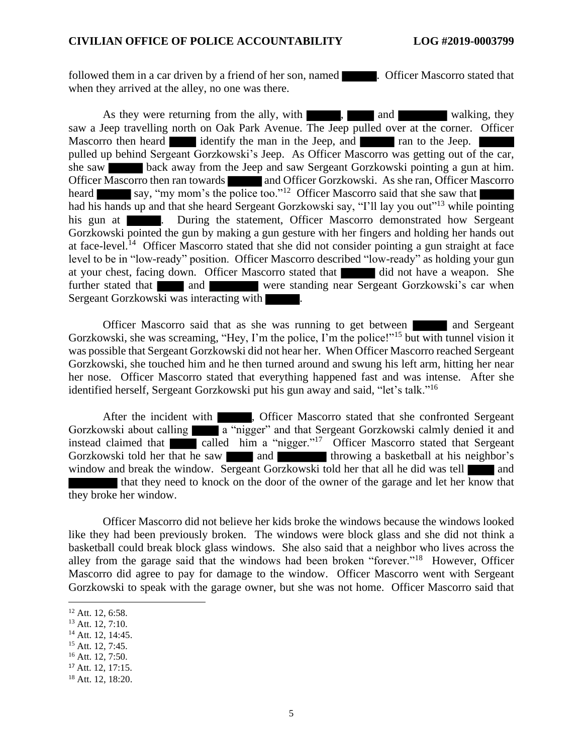followed them in a car driven by a friend of her son, named **. Officer Mascorro stated that** when they arrived at the alley, no one was there.

As they were returning from the ally, with  $\blacksquare$ , and walking, they saw a Jeep travelling north on Oak Park Avenue. The Jeep pulled over at the corner. Officer Mascorro then heard identify the man in the Jeep, and ran to the Jeep. pulled up behind Sergeant Gorzkowski's Jeep. As Officer Mascorro was getting out of the car, she saw back away from the Jeep and saw Sergeant Gorzkowski pointing a gun at him. Officer Mascorro then ran towards and Officer Gorzkowski. As she ran, Officer Mascorro heard say, "my mom's the police too."<sup>12</sup> Officer Mascorro said that she saw that had his hands up and that she heard Sergeant Gorzkowski say, "I'll lay you out"<sup>13</sup> while pointing his gun at **...** During the statement, Officer Mascorro demonstrated how Sergeant Gorzkowski pointed the gun by making a gun gesture with her fingers and holding her hands out at face-level.<sup>14</sup> Officer Mascorro stated that she did not consider pointing a gun straight at face level to be in "low-ready" position. Officer Mascorro described "low-ready" as holding your gun at your chest, facing down. Officer Mascorro stated that did not have a weapon. She further stated that and and were standing near Sergeant Gorzkowski's car when Sergeant Gorzkowski was interacting with  $\blacksquare$ .

Officer Mascorro said that as she was running to get between and Sergeant Gorzkowski, she was screaming, "Hey, I'm the police, I'm the police!"<sup>15</sup> but with tunnel vision it was possible that Sergeant Gorzkowski did not hear her. When Officer Mascorro reached Sergeant Gorzkowski, she touched him and he then turned around and swung his left arm, hitting her near her nose. Officer Mascorro stated that everything happened fast and was intense. After she identified herself, Sergeant Gorzkowski put his gun away and said, "let's talk."<sup>16</sup>

After the incident with , Officer Mascorro stated that she confronted Sergeant Gorzkowski about calling a "nigger" and that Sergeant Gorzkowski calmly denied it and instead claimed that called him a "nigger."<sup>17</sup> Officer Mascorro stated that Sergeant Gorzkowski told her that he saw and throwing a basketball at his neighbor's window and break the window. Sergeant Gorzkowski told her that all he did was tell and that they need to knock on the door of the owner of the garage and let her know that they broke her window.

Officer Mascorro did not believe her kids broke the windows because the windows looked like they had been previously broken. The windows were block glass and she did not think a basketball could break block glass windows. She also said that a neighbor who lives across the alley from the garage said that the windows had been broken "forever."<sup>18</sup> However, Officer Mascorro did agree to pay for damage to the window. Officer Mascorro went with Sergeant Gorzkowski to speak with the garage owner, but she was not home. Officer Mascorro said that

<sup>14</sup> Att. 12, 14:45.

<sup>17</sup> Att. 12, 17:15.

 $12$  Att. 12, 6:58.

<sup>13</sup> Att. 12, 7:10.

 $15$  Att. 12, 7:45.

<sup>16</sup> Att. 12, 7:50.

<sup>18</sup> Att. 12, 18:20.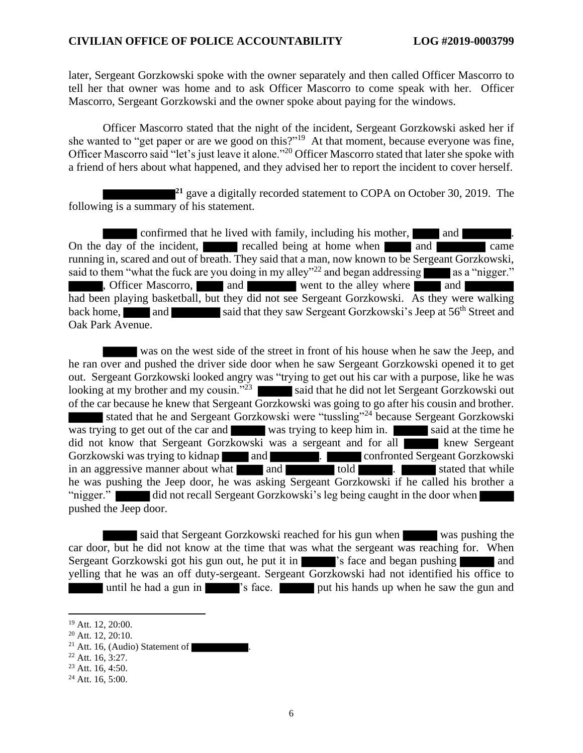later, Sergeant Gorzkowski spoke with the owner separately and then called Officer Mascorro to tell her that owner was home and to ask Officer Mascorro to come speak with her. Officer Mascorro, Sergeant Gorzkowski and the owner spoke about paying for the windows.

Officer Mascorro stated that the night of the incident, Sergeant Gorzkowski asked her if she wanted to "get paper or are we good on this?"<sup>19</sup> At that moment, because everyone was fine, Officer Mascorro said "let's just leave it alone."<sup>20</sup> Officer Mascorro stated that later she spoke with a friend of hers about what happened, and they advised her to report the incident to cover herself.

<sup>21</sup> gave a digitally recorded statement to COPA on October 30, 2019. The following is a summary of his statement.

confirmed that he lived with family, including his mother, and ... On the day of the incident, recalled being at home when and and came running in, scared and out of breath. They said that a man, now known to be Sergeant Gorzkowski, said to them "what the fuck are you doing in my alley"<sup>22</sup> and began addressing as a "nigger." , Officer Mascorro, and and went to the alley where and had been playing basketball, but they did not see Sergeant Gorzkowski. As they were walking back home, and said that they saw Sergeant Gorzkowski's Jeep at 56<sup>th</sup> Street and Oak Park Avenue.

was on the west side of the street in front of his house when he saw the Jeep, and he ran over and pushed the driver side door when he saw Sergeant Gorzkowski opened it to get out. Sergeant Gorzkowski looked angry was "trying to get out his car with a purpose, like he was looking at my brother and my cousin."<sup>23</sup> said that he did not let Sergeant Gorzkowski out of the car because he knew that Sergeant Gorzkowski was going to go after his cousin and brother. stated that he and Sergeant Gorzkowski were "tussling"<sup>24</sup> because Sergeant Gorzkowski was trying to get out of the car and was trying to keep him in. said at the time he did not know that Sergeant Gorzkowski was a sergeant and for all knew Sergeant Gorzkowski was trying to kidnap and **and and and confronted Sergeant Gorzkowski** in an aggressive manner about what and told . Stated that while he was pushing the Jeep door, he was asking Sergeant Gorzkowski if he called his brother a "nigger." did not recall Sergeant Gorzkowski's leg being caught in the door when pushed the Jeep door.

said that Sergeant Gorzkowski reached for his gun when was pushing the car door, but he did not know at the time that was what the sergeant was reaching for. When Sergeant Gorzkowski got his gun out, he put it in 's face and began pushing and yelling that he was an off duty-sergeant. Sergeant Gorzkowski had not identified his office to until he had a gun in  $\blacksquare$  's face. put his hands up when he saw the gun and

<sup>19</sup> Att. 12, 20:00.

<sup>20</sup> Att. 12, 20:10.

<sup>&</sup>lt;sup>21</sup> Att. 16, (Audio) Statement of

 $22$  Att. 16, 3:27.

 $23$  Att. 16, 4:50.

 $24$  Att. 16, 5:00.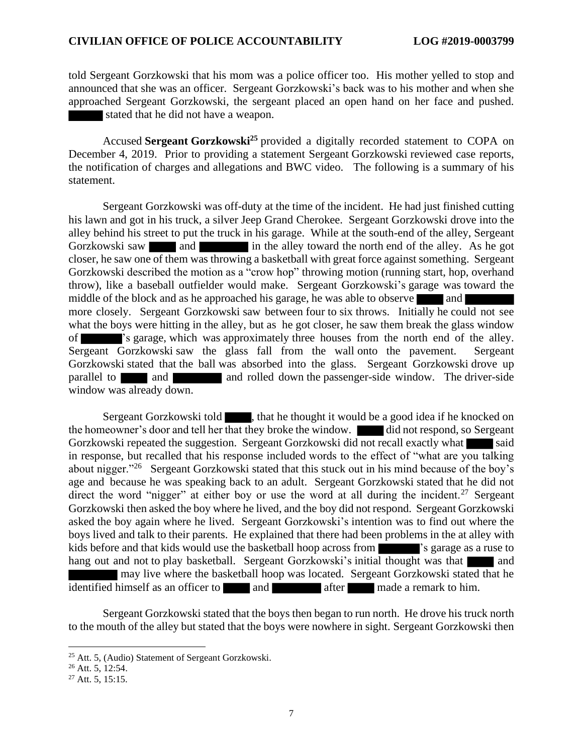told Sergeant Gorzkowski that his mom was a police officer too. His mother yelled to stop and announced that she was an officer. Sergeant Gorzkowski's back was to his mother and when she approached Sergeant Gorzkowski, the sergeant placed an open hand on her face and pushed. stated that he did not have a weapon.

Accused **Sergeant Gorzkowski<sup>25</sup>** provided a digitally recorded statement to COPA on December 4, 2019. Prior to providing a statement Sergeant Gorzkowski reviewed case reports, the notification of charges and allegations and BWC video. The following is a summary of his statement.

Sergeant Gorzkowski was off-duty at the time of the incident. He had just finished cutting his lawn and got in his truck, a silver Jeep Grand Cherokee. Sergeant Gorzkowski drove into the alley behind his street to put the truck in his garage. While at the south-end of the alley, Sergeant Gorzkowski saw and and in the alley toward the north end of the alley. As he got closer, he saw one of them was throwing a basketball with great force against something. Sergeant Gorzkowski described the motion as a "crow hop" throwing motion (running start, hop, overhand throw), like a baseball outfielder would make. Sergeant Gorzkowski's garage was toward the middle of the block and as he approached his garage, he was able to observe and more closely. Sergeant Gorzkowski saw between four to six throws. Initially he could not see what the boys were hitting in the alley, but as he got closer, he saw them break the glass window of 's garage, which was approximately three houses from the north end of the alley. Sergeant Gorzkowski saw the glass fall from the wall onto the pavement. Sergeant Gorzkowski stated that the ball was absorbed into the glass. Sergeant Gorzkowski drove up parallel to and and and rolled down the passenger-side window. The driver-side window was already down.

Sergeant Gorzkowski told  $\blacksquare$ , that he thought it would be a good idea if he knocked on the homeowner's door and tell her that they broke the window. did not respond, so Sergeant Gorzkowski repeated the suggestion. Sergeant Gorzkowski did not recall exactly what said in response, but recalled that his response included words to the effect of "what are you talking about nigger."<sup>26</sup> Sergeant Gorzkowski stated that this stuck out in his mind because of the boy's age and because he was speaking back to an adult. Sergeant Gorzkowski stated that he did not direct the word "nigger" at either boy or use the word at all during the incident.<sup>27</sup> Sergeant Gorzkowski then asked the boy where he lived, and the boy did not respond. Sergeant Gorzkowski asked the boy again where he lived. Sergeant Gorzkowski's intention was to find out where the boys lived and talk to their parents. He explained that there had been problems in the at alley with kids before and that kids would use the basketball hoop across from  $\blacksquare$  's garage as a ruse to hang out and not to play basketball. Sergeant Gorzkowski's initial thought was that and may live where the basketball hoop was located. Sergeant Gorzkowski stated that he identified himself as an officer to and a feature after made a remark to him.

Sergeant Gorzkowski stated that the boys then began to run north. He drove his truck north to the mouth of the alley but stated that the boys were nowhere in sight. Sergeant Gorzkowski then

<sup>25</sup> Att. 5, (Audio) Statement of Sergeant Gorzkowski.

<sup>26</sup> Att. 5, 12:54.

 $27$  Att. 5, 15:15.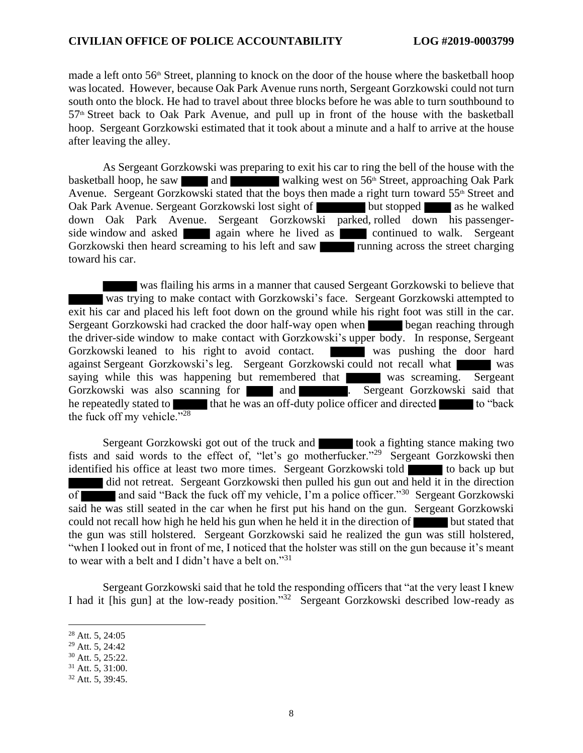made a left onto  $56<sup>th</sup>$  Street, planning to knock on the door of the house where the basketball hoop was located. However, because Oak Park Avenue runs north, Sergeant Gorzkowski could not turn south onto the block. He had to travel about three blocks before he was able to turn southbound to  $57<sup>th</sup>$  Street back to Oak Park Avenue, and pull up in front of the house with the basketball hoop. Sergeant Gorzkowski estimated that it took about a minute and a half to arrive at the house after leaving the alley.

As Sergeant Gorzkowski was preparing to exit his car to ring the bell of the house with the basketball hoop, he saw and walking west on  $56<sup>th</sup>$  Street, approaching Oak Park Avenue. Sergeant Gorzkowski stated that the boys then made a right turn toward 55<sup>th</sup> Street and Oak Park Avenue. Sergeant Gorzkowski lost sight of but stopped as he walked down Oak Park Avenue. Sergeant Gorzkowski parked, rolled down his passengerside window and asked again where he lived as continued to walk. Sergeant Gorzkowski then heard screaming to his left and saw **running** across the street charging toward his car.

was flailing his arms in a manner that caused Sergeant Gorzkowski to believe that was trying to make contact with Gorzkowski's face. Sergeant Gorzkowski attempted to exit his car and placed his left foot down on the ground while his right foot was still in the car. Sergeant Gorzkowski had cracked the door half-way open when began reaching through the driver-side window to make contact with Gorzkowski's upper body. In response, Sergeant Gorzkowski leaned to his right to avoid contact. We was pushing the door hard against Sergeant Gorzkowski's leg. Sergeant Gorzkowski could not recall what was saying while this was happening but remembered that was screaming. Sergeant Gorzkowski was also scanning for and **and** Sergeant Gorzkowski said that he repeatedly stated to that he was an off-duty police officer and directed to "back" the fuck off my vehicle." $28$ 

Sergeant Gorzkowski got out of the truck and took a fighting stance making two fists and said words to the effect of, "let's go motherfucker."<sup>29</sup> Sergeant Gorzkowski then identified his office at least two more times. Sergeant Gorzkowski told to back up but did not retreat. Sergeant Gorzkowski then pulled his gun out and held it in the direction of and said "Back the fuck off my vehicle, I'm a police officer."<sup>30</sup> Sergeant Gorzkowski said he was still seated in the car when he first put his hand on the gun. Sergeant Gorzkowski could not recall how high he held his gun when he held it in the direction of but stated that the gun was still holstered. Sergeant Gorzkowski said he realized the gun was still holstered, "when I looked out in front of me, I noticed that the holster was still on the gun because it's meant to wear with a belt and I didn't have a belt on."<sup>31</sup>

Sergeant Gorzkowski said that he told the responding officers that "at the very least I knew I had it [his gun] at the low-ready position."<sup>32</sup> Sergeant Gorzkowski described low-ready as

<sup>28</sup> Att. 5, 24:05

 $29$  Att. 5, 24:42

 $30$  Att. 5, 25:22.

<sup>31</sup> Att. 5, 31:00.

<sup>32</sup> Att. 5, 39:45.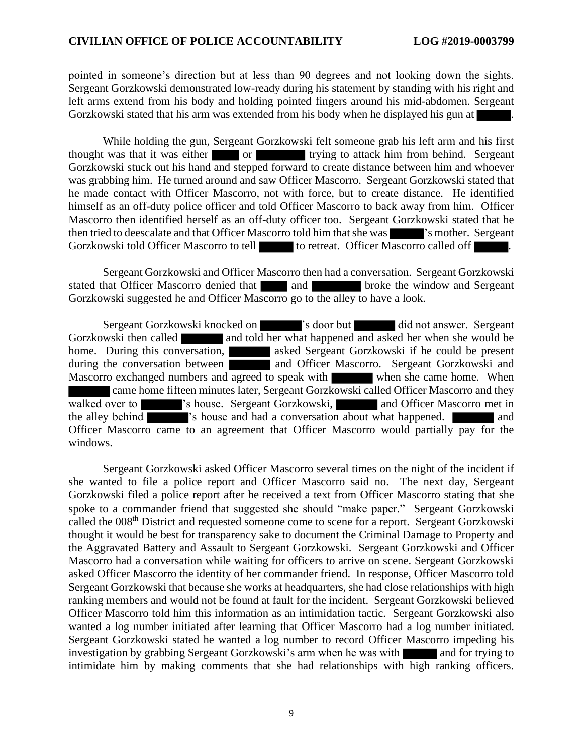pointed in someone's direction but at less than 90 degrees and not looking down the sights. Sergeant Gorzkowski demonstrated low-ready during his statement by standing with his right and left arms extend from his body and holding pointed fingers around his mid-abdomen. Sergeant Gorzkowski stated that his arm was extended from his body when he displayed his gun at .

While holding the gun, Sergeant Gorzkowski felt someone grab his left arm and his first thought was that it was either or trying to attack him from behind. Sergeant Gorzkowski stuck out his hand and stepped forward to create distance between him and whoever was grabbing him. He turned around and saw Officer Mascorro. Sergeant Gorzkowski stated that he made contact with Officer Mascorro, not with force, but to create distance. He identified himself as an off-duty police officer and told Officer Mascorro to back away from him. Officer Mascorro then identified herself as an off-duty officer too. Sergeant Gorzkowski stated that he then tried to deescalate and that Officer Mascorro told him that she was **'s** mother. Sergeant Gorzkowski told Officer Mascorro to tell to retreat. Officer Mascorro called off

Sergeant Gorzkowski and Officer Mascorro then had a conversation. Sergeant Gorzkowski stated that Officer Mascorro denied that and broke the window and Sergeant Gorzkowski suggested he and Officer Mascorro go to the alley to have a look.

Sergeant Gorzkowski knocked on 's door but did not answer. Sergeant Gorzkowski then called and told her what happened and asked her when she would be home. During this conversation, asked Sergeant Gorzkowski if he could be present during the conversation between **and Officer Mascorro.** Sergeant Gorzkowski and Mascorro exchanged numbers and agreed to speak with when she came home. When came home fifteen minutes later, Sergeant Gorzkowski called Officer Mascorro and they walked over to 's house. Sergeant Gorzkowski, and Officer Mascorro met in the alley behind  $\overline{\phantom{a}}$  's house and had a conversation about what happened.  $\overline{\phantom{a}}$  and Officer Mascorro came to an agreement that Officer Mascorro would partially pay for the windows.

Sergeant Gorzkowski asked Officer Mascorro several times on the night of the incident if she wanted to file a police report and Officer Mascorro said no. The next day, Sergeant Gorzkowski filed a police report after he received a text from Officer Mascorro stating that she spoke to a commander friend that suggested she should "make paper." Sergeant Gorzkowski called the 008<sup>th</sup> District and requested someone come to scene for a report. Sergeant Gorzkowski thought it would be best for transparency sake to document the Criminal Damage to Property and the Aggravated Battery and Assault to Sergeant Gorzkowski. Sergeant Gorzkowski and Officer Mascorro had a conversation while waiting for officers to arrive on scene. Sergeant Gorzkowski asked Officer Mascorro the identity of her commander friend. In response, Officer Mascorro told Sergeant Gorzkowski that because she works at headquarters, she had close relationships with high ranking members and would not be found at fault for the incident. Sergeant Gorzkowski believed Officer Mascorro told him this information as an intimidation tactic. Sergeant Gorzkowski also wanted a log number initiated after learning that Officer Mascorro had a log number initiated. Sergeant Gorzkowski stated he wanted a log number to record Officer Mascorro impeding his investigation by grabbing Sergeant Gorzkowski's arm when he was with and for trying to intimidate him by making comments that she had relationships with high ranking officers.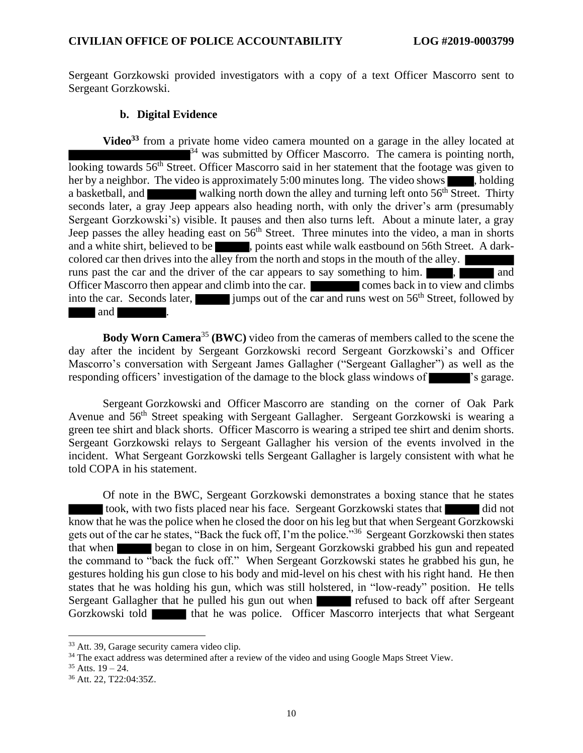Sergeant Gorzkowski provided investigators with a copy of a text Officer Mascorro sent to Sergeant Gorzkowski.

#### **b. Digital Evidence**

**Video<sup>33</sup>** from a private home video camera mounted on a garage in the alley located at  $34$  was submitted by Officer Mascorro. The camera is pointing north, looking towards 56<sup>th</sup> Street. Officer Mascorro said in her statement that the footage was given to her by a neighbor. The video is approximately 5:00 minutes long. The video shows  $\blacksquare$ , holding a basketball, and walking north down the alley and turning left onto 56<sup>th</sup> Street. Thirty seconds later, a gray Jeep appears also heading north, with only the driver's arm (presumably Sergeant Gorzkowski's) visible. It pauses and then also turns left. About a minute later, a gray Jeep passes the alley heading east on  $56<sup>th</sup>$  Street. Three minutes into the video, a man in shorts and a white shirt, believed to be , points east while walk eastbound on 56th Street. A darkcolored car then drives into the alley from the north and stops in the mouth of the alley. runs past the car and the driver of the car appears to say something to him. Officer Mascorro then appear and climb into the car. **Comes** back in to view and climbs into the car. Seconds later, jumps out of the car and runs west on  $56<sup>th</sup>$  Street, followed by and .

**Body Worn Camera<sup>35</sup> (BWC)** video from the cameras of members called to the scene the day after the incident by Sergeant Gorzkowski record Sergeant Gorzkowski's and Officer Mascorro's conversation with Sergeant James Gallagher ("Sergeant Gallagher") as well as the responding officers' investigation of the damage to the block glass windows of  $\blacksquare$  's garage.

Sergeant Gorzkowski and Officer Mascorro are standing on the corner of Oak Park Avenue and 56<sup>th</sup> Street speaking with Sergeant Gallagher. Sergeant Gorzkowski is wearing a green tee shirt and black shorts. Officer Mascorro is wearing a striped tee shirt and denim shorts. Sergeant Gorzkowski relays to Sergeant Gallagher his version of the events involved in the incident. What Sergeant Gorzkowski tells Sergeant Gallagher is largely consistent with what he told COPA in his statement.

Of note in the BWC, Sergeant Gorzkowski demonstrates a boxing stance that he states took, with two fists placed near his face. Sergeant Gorzkowski states that did not know that he was the police when he closed the door on his leg but that when Sergeant Gorzkowski gets out of the car he states, "Back the fuck off, I'm the police."<sup>36</sup> Sergeant Gorzkowski then states that when began to close in on him, Sergeant Gorzkowski grabbed his gun and repeated the command to "back the fuck off." When Sergeant Gorzkowski states he grabbed his gun, he gestures holding his gun close to his body and mid-level on his chest with his right hand. He then states that he was holding his gun, which was still holstered, in "low-ready" position. He tells Sergeant Gallagher that he pulled his gun out when refused to back off after Sergeant Gorzkowski told that he was police. Officer Mascorro interjects that what Sergeant

<sup>33</sup> Att. 39, Garage security camera video clip.

<sup>&</sup>lt;sup>34</sup> The exact address was determined after a review of the video and using Google Maps Street View.

 $35$  Atts.  $19 - 24$ .

<sup>36</sup> Att. 22, T22:04:35Z.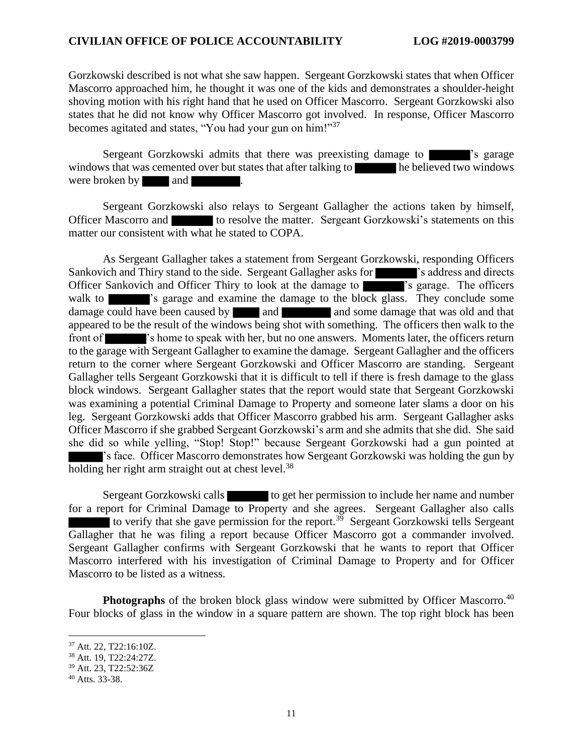Gorzkowski described is not what she saw happen. Sergeant Gorzkowski states that when Officer Mascorro approached him, he thought it was one of the kids and demonstrates a shoulder-height shoving motion with his right hand that he used on Officer Mascorro. Sergeant Gorzkowski also states that he did not know why Officer Mascorro got involved. In response, Officer Mascorro becomes agitated and states, "You had your gun on him!"<sup>37</sup>

Sergeant Gorzkowski admits that there was preexisting damage to **Samua**'s garage windows that was cemented over but states that after talking to he believed two windows were broken by and  $\blacksquare$ 

Sergeant Gorzkowski also relays to Sergeant Gallagher the actions taken by himself, Officer Mascorro and to resolve the matter. Sergeant Gorzkowski's statements on this matter our consistent with what he stated to COPA.

As Sergeant Gallagher takes a statement from Sergeant Gorzkowski, responding Officers Sankovich and Thiry stand to the side. Sergeant Gallagher asks for 's address and directs' Officer Sankovich and Officer Thiry to look at the damage to **'s** garage. The officers' walk to **'s** garage and examine the damage to the block glass. They conclude some damage could have been caused by and and some damage that was old and that appeared to be the result of the windows being shot with something. The officers then walk to the front of 's home to speak with her, but no one answers. Moments later, the officers return to the garage with Sergeant Gallagher to examine the damage. Sergeant Gallagher and the officers return to the corner where Sergeant Gorzkowski and Officer Mascorro are standing. Sergeant Gallagher tells Sergeant Gorzkowski that it is difficult to tell if there is fresh damage to the glass block windows. Sergeant Gallagher states that the report would state that Sergeant Gorzkowski was examining a potential Criminal Damage to Property and someone later slams a door on his leg. Sergeant Gorzkowski adds that Officer Mascorro grabbed his arm. Sergeant Gallagher asks Officer Mascorro if she grabbed Sergeant Gorzkowski's arm and she admits that she did. She said she did so while yelling, "Stop! Stop!" because Sergeant Gorzkowski had a gun pointed at 's face. Officer Mascorro demonstrates how Sergeant Gorzkowski was holding the gun by holding her right arm straight out at chest level.<sup>38</sup>

Sergeant Gorzkowski calls to get her permission to include her name and number for a report for Criminal Damage to Property and she agrees. Sergeant Gallagher also calls to verify that she gave permission for the report.<sup>39</sup> Sergeant Gorzkowski tells Sergeant Gallagher that he was filing a report because Officer Mascorro got a commander involved. Sergeant Gallagher confirms with Sergeant Gorzkowski that he wants to report that Officer Mascorro interfered with his investigation of Criminal Damage to Property and for Officer Mascorro to be listed as a witness.

**Photographs** of the broken block glass window were submitted by Officer Mascorro.<sup>40</sup> Four blocks of glass in the window in a square pattern are shown. The top right block has been

<sup>37</sup> Att. 22, T22:16:10Z.

<sup>38</sup> Att. 19, T22:24:27Z.

<sup>39</sup> Att. 23, T22:52:36Z

<sup>40</sup> Atts. 33-38.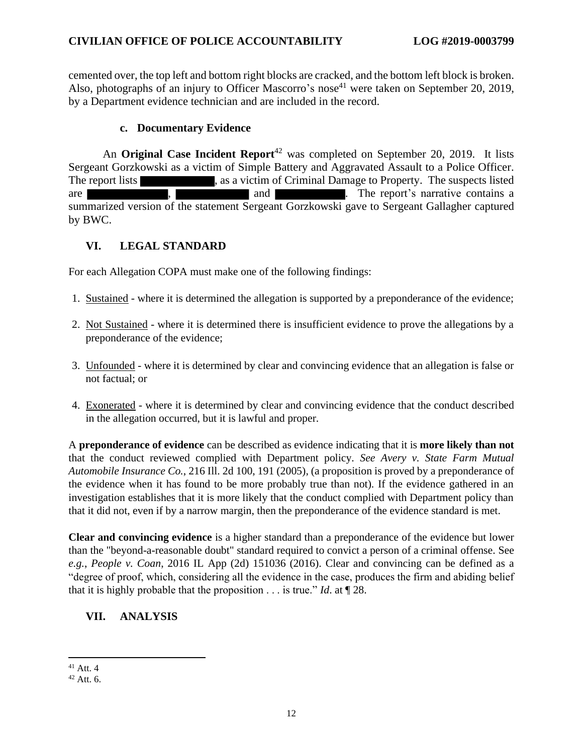cemented over, the top left and bottom right blocks are cracked, and the bottom left block is broken. Also, photographs of an injury to Officer Mascorro's nose<sup>41</sup> were taken on September 20, 2019, by a Department evidence technician and are included in the record.

### **c. Documentary Evidence**

An **Original Case Incident Report**<sup>42</sup> was completed on September 20, 2019. It lists Sergeant Gorzkowski as a victim of Simple Battery and Aggravated Assault to a Police Officer. The report lists stated as a victim of Criminal Damage to Property. The suspects listed are  $\blacksquare$ , and  $\blacksquare$  . The report's narrative contains a summarized version of the statement Sergeant Gorzkowski gave to Sergeant Gallagher captured by BWC.

## **VI. LEGAL STANDARD**

For each Allegation COPA must make one of the following findings:

- 1. Sustained where it is determined the allegation is supported by a preponderance of the evidence;
- 2. Not Sustained where it is determined there is insufficient evidence to prove the allegations by a preponderance of the evidence;
- 3. Unfounded where it is determined by clear and convincing evidence that an allegation is false or not factual; or
- 4. Exonerated where it is determined by clear and convincing evidence that the conduct described in the allegation occurred, but it is lawful and proper.

A **preponderance of evidence** can be described as evidence indicating that it is **more likely than not** that the conduct reviewed complied with Department policy. *See Avery v. State Farm Mutual Automobile Insurance Co.*, 216 Ill. 2d 100, 191 (2005), (a proposition is proved by a preponderance of the evidence when it has found to be more probably true than not). If the evidence gathered in an investigation establishes that it is more likely that the conduct complied with Department policy than that it did not, even if by a narrow margin, then the preponderance of the evidence standard is met.

**Clear and convincing evidence** is a higher standard than a preponderance of the evidence but lower than the "beyond-a-reasonable doubt" standard required to convict a person of a criminal offense. See *e.g.*, *People v. Coan*, 2016 IL App (2d) 151036 (2016). Clear and convincing can be defined as a "degree of proof, which, considering all the evidence in the case, produces the firm and abiding belief that it is highly probable that the proposition  $\ldots$  is true." *Id.* at  $\P$  28.

## **VII. ANALYSIS**

 $41$  Att. 4

 $42$  Att. 6.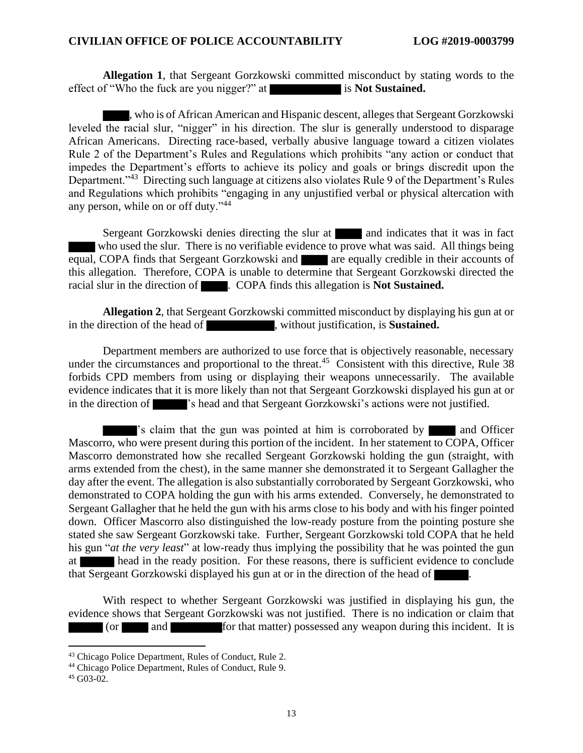**Allegation 1**, that Sergeant Gorzkowski committed misconduct by stating words to the effect of "Who the fuck are you nigger?" at is **Not Sustained.** 

, who is of African American and Hispanic descent, alleges that Sergeant Gorzkowski leveled the racial slur, "nigger" in his direction. The slur is generally understood to disparage African Americans. Directing race-based, verbally abusive language toward a citizen violates Rule 2 of the Department's Rules and Regulations which prohibits "any action or conduct that impedes the Department's efforts to achieve its policy and goals or brings discredit upon the Department."<sup>43</sup> Directing such language at citizens also violates Rule 9 of the Department's Rules and Regulations which prohibits "engaging in any unjustified verbal or physical altercation with any person, while on or off duty."<sup>44</sup>

Sergeant Gorzkowski denies directing the slur at and indicates that it was in fact who used the slur. There is no verifiable evidence to prove what was said. All things being equal, COPA finds that Sergeant Gorzkowski and are equally credible in their accounts of this allegation. Therefore, COPA is unable to determine that Sergeant Gorzkowski directed the racial slur in the direction of . COPA finds this allegation is **Not Sustained.**

**Allegation 2**, that Sergeant Gorzkowski committed misconduct by displaying his gun at or in the direction of the head of , without justification, is **Sustained.** 

Department members are authorized to use force that is objectively reasonable, necessary under the circumstances and proportional to the threat.<sup>45</sup> Consistent with this directive, Rule  $38$ forbids CPD members from using or displaying their weapons unnecessarily. The available evidence indicates that it is more likely than not that Sergeant Gorzkowski displayed his gun at or in the direction of 's head and that Sergeant Gorzkowski's actions were not justified.

's claim that the gun was pointed at him is corroborated by and Officer Mascorro, who were present during this portion of the incident. In her statement to COPA, Officer Mascorro demonstrated how she recalled Sergeant Gorzkowski holding the gun (straight, with arms extended from the chest), in the same manner she demonstrated it to Sergeant Gallagher the day after the event. The allegation is also substantially corroborated by Sergeant Gorzkowski, who demonstrated to COPA holding the gun with his arms extended. Conversely, he demonstrated to Sergeant Gallagher that he held the gun with his arms close to his body and with his finger pointed down. Officer Mascorro also distinguished the low-ready posture from the pointing posture she stated she saw Sergeant Gorzkowski take. Further, Sergeant Gorzkowski told COPA that he held his gun "*at the very least*" at low-ready thus implying the possibility that he was pointed the gun at head in the ready position. For these reasons, there is sufficient evidence to conclude that Sergeant Gorzkowski displayed his gun at or in the direction of the head of .

With respect to whether Sergeant Gorzkowski was justified in displaying his gun, the evidence shows that Sergeant Gorzkowski was not justified. There is no indication or claim that (or and for that matter) possessed any weapon during this incident. It is

<sup>43</sup> Chicago Police Department, Rules of Conduct, Rule 2.

<sup>44</sup> Chicago Police Department, Rules of Conduct, Rule 9.

<sup>45</sup> G03-02.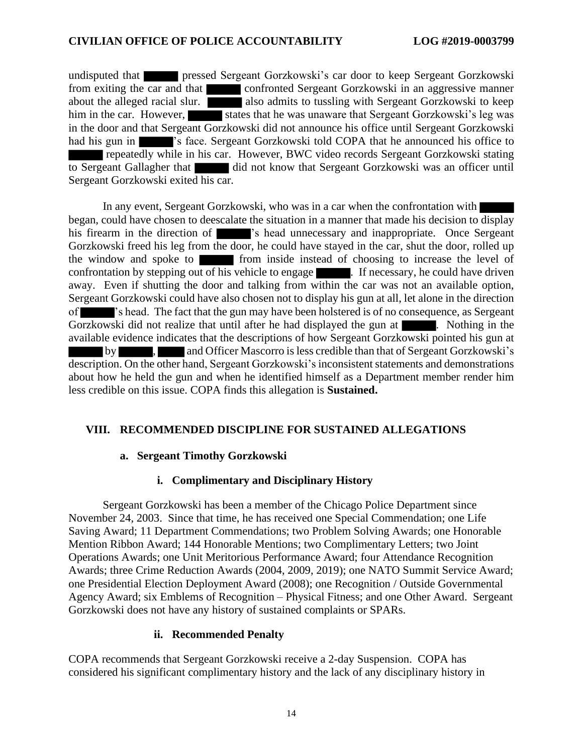undisputed that pressed Sergeant Gorzkowski's car door to keep Sergeant Gorzkowski from exiting the car and that confronted Sergeant Gorzkowski in an aggressive manner about the alleged racial slur. also admits to tussling with Sergeant Gorzkowski to keep him in the car. However, states that he was unaware that Sergeant Gorzkowski's leg was in the door and that Sergeant Gorzkowski did not announce his office until Sergeant Gorzkowski had his gun in 's face. Sergeant Gorzkowski told COPA that he announced his office to repeatedly while in his car. However, BWC video records Sergeant Gorzkowski stating to Sergeant Gallagher that did not know that Sergeant Gorzkowski was an officer until Sergeant Gorzkowski exited his car.

In any event, Sergeant Gorzkowski, who was in a car when the confrontation with began, could have chosen to deescalate the situation in a manner that made his decision to display his firearm in the direction of  $\blacksquare$  's head unnecessary and inappropriate. Once Sergeant Gorzkowski freed his leg from the door, he could have stayed in the car, shut the door, rolled up the window and spoke to from inside instead of choosing to increase the level of confrontation by stepping out of his vehicle to engage . If necessary, he could have driven away. Even if shutting the door and talking from within the car was not an available option, Sergeant Gorzkowski could have also chosen not to display his gun at all, let alone in the direction of 's head. The fact that the gun may have been holstered is of no consequence, as Sergeant Gorzkowski did not realize that until after he had displayed the gun at . Nothing in the available evidence indicates that the descriptions of how Sergeant Gorzkowski pointed his gun at by , and Officer Mascorro is less credible than that of Sergeant Gorzkowski's description. On the other hand, Sergeant Gorzkowski's inconsistent statements and demonstrations about how he held the gun and when he identified himself as a Department member render him less credible on this issue. COPA finds this allegation is **Sustained.**

#### **VIII. RECOMMENDED DISCIPLINE FOR SUSTAINED ALLEGATIONS**

#### **a. Sergeant Timothy Gorzkowski**

#### **i. Complimentary and Disciplinary History**

Sergeant Gorzkowski has been a member of the Chicago Police Department since November 24, 2003. Since that time, he has received one Special Commendation; one Life Saving Award; 11 Department Commendations; two Problem Solving Awards; one Honorable Mention Ribbon Award; 144 Honorable Mentions; two Complimentary Letters; two Joint Operations Awards; one Unit Meritorious Performance Award; four Attendance Recognition Awards; three Crime Reduction Awards (2004, 2009, 2019); one NATO Summit Service Award; one Presidential Election Deployment Award (2008); one Recognition / Outside Governmental Agency Award; six Emblems of Recognition – Physical Fitness; and one Other Award. Sergeant Gorzkowski does not have any history of sustained complaints or SPARs.

#### **ii. Recommended Penalty**

COPA recommends that Sergeant Gorzkowski receive a 2-day Suspension. COPA has considered his significant complimentary history and the lack of any disciplinary history in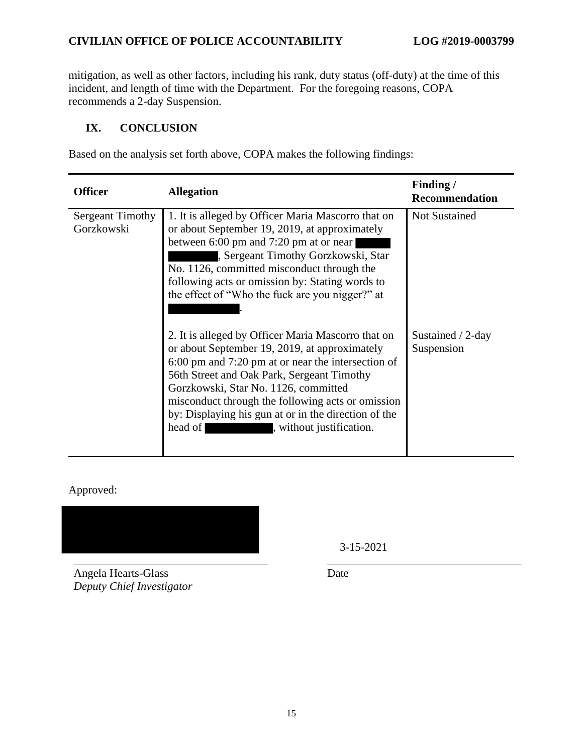mitigation, as well as other factors, including his rank, duty status (off-duty) at the time of this incident, and length of time with the Department. For the foregoing reasons, COPA recommends a 2-day Suspension.

## **IX. CONCLUSION**

Based on the analysis set forth above, COPA makes the following findings:

| <b>Officer</b>                        | <b>Allegation</b>                                                                                                                                                                                                                                                                                                                                                                                   | Finding/<br><b>Recommendation</b> |
|---------------------------------------|-----------------------------------------------------------------------------------------------------------------------------------------------------------------------------------------------------------------------------------------------------------------------------------------------------------------------------------------------------------------------------------------------------|-----------------------------------|
| <b>Sergeant Timothy</b><br>Gorzkowski | 1. It is alleged by Officer Maria Mascorro that on<br>or about September 19, 2019, at approximately<br>between 6:00 pm and 7:20 pm at or near<br>, Sergeant Timothy Gorzkowski, Star<br>No. 1126, committed misconduct through the<br>following acts or omission by: Stating words to<br>the effect of "Who the fuck are you nigger?" at                                                            | <b>Not Sustained</b>              |
|                                       | 2. It is alleged by Officer Maria Mascorro that on<br>or about September 19, 2019, at approximately<br>6:00 pm and 7:20 pm at or near the intersection of<br>56th Street and Oak Park, Sergeant Timothy<br>Gorzkowski, Star No. 1126, committed<br>misconduct through the following acts or omission<br>by: Displaying his gun at or in the direction of the<br>head of<br>, without justification. | Sustained / 2-day<br>Suspension   |

Approved:



Angela Hearts-Glass *Deputy Chief Investigator* 3-15-2021

Date